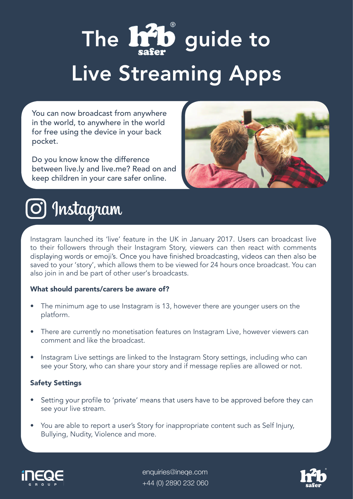# The **Inib** guide to

## Live Streaming Apps

You can now broadcast from anywhere in the world, to anywhere in the world for free using the device in your back pocket.

Do you know know the difference between live.ly and live.me? Read on and keep children in your care safer online.





Instagram launched its 'live' feature in the UK in January 2017. Users can broadcast live to their followers through their Instagram Story, viewers can then react with comments displaying words or emoji's. Once you have finished broadcasting, videos can then also be saved to your 'story', which allows them to be viewed for 24 hours once broadcast. You can also join in and be part of other user's broadcasts.

#### What should parents/carers be aware of?

- The minimum age to use Instagram is 13, however there are younger users on the platform.
- There are currently no monetisation features on Instagram Live, however viewers can comment and like the broadcast.
- Instagram Live settings are linked to the Instagram Story settings, including who can see your Story, who can share your story and if message replies are allowed or not.

#### Safety Settings

- Setting your profile to 'private' means that users have to be approved before they can • see your live stream.
- You are able to report a user's Story for inappropriate content such as Self Injury, Bullying, Nudity, Violence and more.



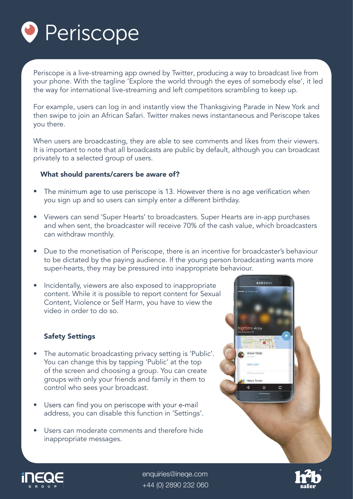

Periscope is a live-streaming app owned by Twitter, producing a way to broadcast live from your phone. With the tagline 'Explore the world through the eyes of somebody else', it led the way for international live-streaming and left competitors scrambling to keep up.

For example, users can log in and instantly view the Thanksgiving Parade in New York and then swipe to join an African Safari. Twitter makes news instantaneous and Periscope takes you there.

When users are broadcasting, they are able to see comments and likes from their viewers. It is important to note that all broadcasts are public by default, although you can broadcast privately to a selected group of users.

#### What should parents/carers be aware of?

- The minimum age to use periscope is 13. However there is no age verification when • you sign up and so users can simply enter a different birthday.
- Viewers can send 'Super Hearts' to broadcasters. Super Hearts are in-app purchases and when sent, the broadcaster will receive 70% of the cash value, which broadcasters can withdraw monthly.
- Due to the monetisation of Periscope, there is an incentive for broadcaster's behaviour to be dictated by the paying audience. If the young person broadcasting wants more super-hearts, they may be pressured into inappropriate behaviour.
- Incidentally, viewers are also exposed to inappropriate content. While it is possible to report content for Sexual Content, Violence or Self Harm, you have to view the video in order to do so.

#### Safety Settings

- The automatic broadcasting privacy setting is 'Public'. You can change this by tapping 'Public' at the top of the screen and choosing a group. You can create groups with only your friends and family in them to control who sees your broadcast.
- Users can find you on periscope with your e-mail • address, you can disable this function in 'Settings'.
- Users can moderate comments and therefore hide inappropriate messages.





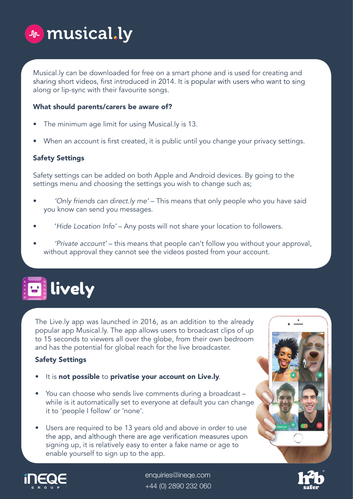

Musical.ly can be downloaded for free on a smart phone and is used for creating and sharing short videos, first introduced in 2014. It is popular with users who want to sing along or lip-sync with their favourite songs.

#### What should parents/carers be aware of?

- The minimum age limit for using Musical.ly is 13.
- When an account is first created, it is public until you change your privacy settings.

#### Safety Settings

Safety settings can be added on both Apple and Android devices. By going to the settings menu and choosing the settings you wish to change such as;

- 'Only friends can direct.ly me' This means that only people who you have said you know can send you messages.
- 'Hide Location Info' Any posts will not share your location to followers.
- 'Private account' this means that people can't follow you without your approval, without approval they cannot see the videos posted from your account.

## **B** lively

The Live.ly app was launched in 2016, as an addition to the already popular app Musical.ly. The app allows users to broadcast clips of up to 15 seconds to viewers all over the globe, from their own bedroom and has the potential for global reach for the live broadcaster.

#### Safety Settings

- It is not possible to privatise your account on Live.ly.
- You can choose who sends live comments during a broadcast while is it automatically set to everyone at default you can change it to 'people I follow' or 'none'.
- Users are required to be 13 years old and above in order to use the app, and although there are age verification measures upon signing up, it is relatively easy to enter a fake name or age to enable yourself to sign up to the app.





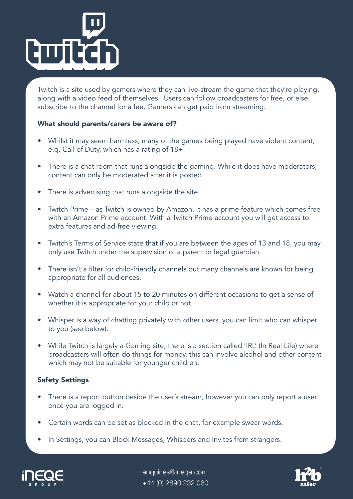

Twitch is a site used by gamers where they can live-stream the game that they're playing, along with a video feed of themselves. Users can follow broadcasters for free, or else subscribe to the channel for a fee. Gamers can get paid from streaming.

#### What should parents/carers be aware of?

- Whilst it may seem harmless, many of the games being played have violent content, e.g. Call of Duty, which has a rating of 18+.
- There is a chat room that runs alongside the gaming. While it does have moderators, content can only be moderated after it is posted.
- There is advertising that runs alongside the site.
- Twitch Prime as Twitch is owned by Amazon, it has a prime feature which comes free with an Amazon Prime account. With a Twitch Prime account you will get access to extra features and ad-free viewing.
- Twitch's Terms of Service state that if you are between the ages of 13 and 18, you may only use Twitch under the supervision of a parent or legal guardian.
- There isn't a filter for child-friendly channels but many channels are known for being • appropriate for all audiences.
- Watch a channel for about 15 to 20 minutes on different occasions to get a sense of whether it is appropriate for your child or not.
- Whisper is a way of chatting privately with other users, you can limit who can whisper to you (see below).
- While Twitch is largely a Gaming site, there is a section called 'IRL' (In Real Life) where broadcasters will often do things for money, this can involve alcohol and other content which may not be suitable for younger children.

#### Safety Settings

- There is a report button beside the user's stream, however you can only report a user once you are logged in.
- Certain words can be set as blocked in the chat, for example swear words.
- In Settings, you can Block Messages, Whispers and Invites from strangers.



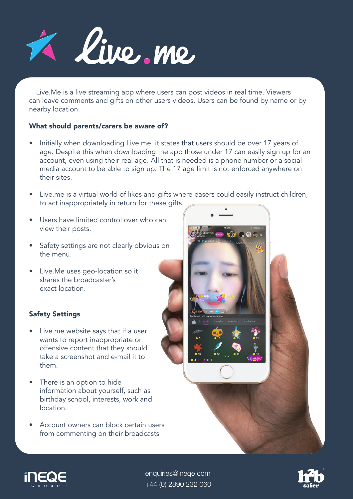

Live.Me is a live streaming app where users can post videos in real time. Viewers can leave comments and gifts on other users videos. Users can be found by name or by nearby location.

#### What should parents/carers be aware of?

- Initially when downloading Live.me, it states that users should be over 17 years of age. Despite this when downloading the app those under 17 can easily sign up for an account, even using their real age. All that is needed is a phone number or a social media account to be able to sign up. The 17 age limit is not enforced anywhere on their sites.
- Live.me is a virtual world of likes and gifts where easers could easily instruct children, to act inappropriately in return for these gifts.
- Users have limited control over who can view their posts.
- Safety settings are not clearly obvious on the menu.
- Live.Me uses geo-location so it shares the broadcaster's exact location.

#### Safety Settings

- Live.me website says that if a user wants to report inappropriate or offensive content that they should take a screenshot and e-mail it to them.
- There is an option to hide information about yourself, such as birthday school, interests, work and location.
- Account owners can block certain users from commenting on their broadcasts





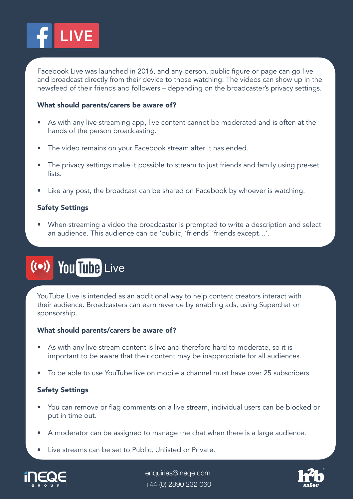

Facebook Live was launched in 2016, and any person, public figure or page can go live and broadcast directly from their device to those watching. The videos can show up in the newsfeed of their friends and followers – depending on the broadcaster's privacy settings.

#### What should parents/carers be aware of?

- As with any live streaming app, live content cannot be moderated and is often at the hands of the person broadcasting.
- The video remains on your Facebook stream after it has ended.
- The privacy settings make it possible to stream to just friends and family using pre-set lists.
- Like any post, the broadcast can be shared on Facebook by whoever is watching.

#### Safety Settings

• When streaming a video the broadcaster is prompted to write a description and select an audience. This audience can be 'public, 'friends' 'friends except…'.

### ((•) You Tube Live

YouTube Live is intended as an additional way to help content creators interact with their audience. Broadcasters can earn revenue by enabling ads, using Superchat or sponsorship.

#### What should parents/carers be aware of?

- As with any live stream content is live and therefore hard to moderate, so it is important to be aware that their content may be inappropriate for all audiences.
- To be able to use YouTube live on mobile a channel must have over 25 subscribers

#### Safety Settings

- You can remove or flag comments on a live stream, individual users can be blocked or put in time out.
- A moderator can be assigned to manage the chat when there is a large audience.
- Live streams can be set to Public, Unlisted or Private.